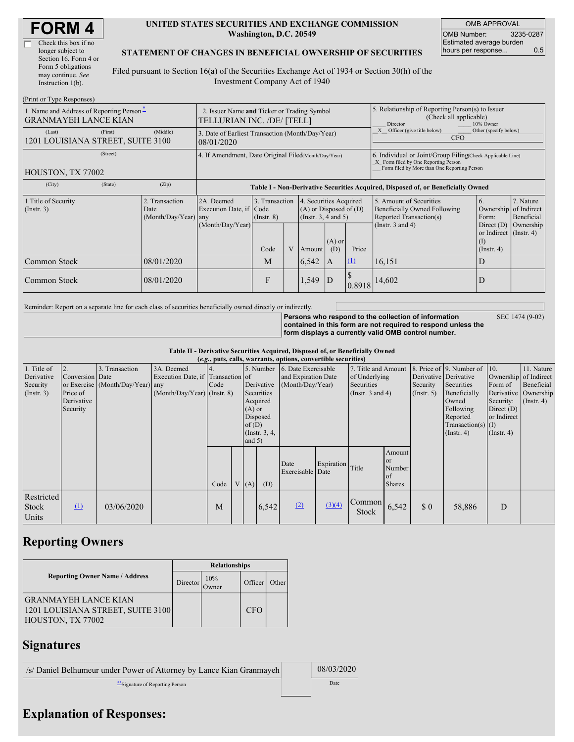| <b>FORM4</b> |  |
|--------------|--|
|--------------|--|

 $\Box$ 

| Check this box if no  |
|-----------------------|
| longer subject to     |
| Section 16. Form 4 or |
| Form 5 obligations    |
| may continue. See     |
| Instruction $1(b)$ .  |
|                       |

#### **UNITED STATES SECURITIES AND EXCHANGE COMMISSION Washington, D.C. 20549**

OMB APPROVAL OMB Number: 3235-0287 Estimated average burden hours per response... 0.5

#### **STATEMENT OF CHANGES IN BENEFICIAL OWNERSHIP OF SECURITIES**

Filed pursuant to Section 16(a) of the Securities Exchange Act of 1934 or Section 30(h) of the Investment Company Act of 1940

| (Print or Type Responses)                                               |                                                                           |                                        |                                                                                  |                                   |   |                                                                                                     |                                                                                                                                                    |          |                                                                                    |                                                                         |                         |  |
|-------------------------------------------------------------------------|---------------------------------------------------------------------------|----------------------------------------|----------------------------------------------------------------------------------|-----------------------------------|---|-----------------------------------------------------------------------------------------------------|----------------------------------------------------------------------------------------------------------------------------------------------------|----------|------------------------------------------------------------------------------------|-------------------------------------------------------------------------|-------------------------|--|
| 1. Name and Address of Reporting Person-<br><b>GRANMAYEH LANCE KIAN</b> | 2. Issuer Name and Ticker or Trading Symbol<br>TELLURIAN INC. /DE/ [TELL] |                                        |                                                                                  |                                   |   | 5. Relationship of Reporting Person(s) to Issuer<br>(Check all applicable)<br>10% Owner<br>Director |                                                                                                                                                    |          |                                                                                    |                                                                         |                         |  |
| (Last)<br>1201 LOUISIANA STREET, SUITE 3100                             | (First)                                                                   | (Middle)                               | 3. Date of Earliest Transaction (Month/Day/Year)<br>08/01/2020                   |                                   |   |                                                                                                     |                                                                                                                                                    |          | Officer (give title below)<br>Other (specify below)<br><b>CFO</b>                  |                                                                         |                         |  |
| HOUSTON, TX 77002                                                       | 4. If Amendment, Date Original Filed(Month/Day/Year)                      |                                        |                                                                                  |                                   |   |                                                                                                     | 6. Individual or Joint/Group Filing Check Applicable Line)<br>X Form filed by One Reporting Person<br>Form filed by More than One Reporting Person |          |                                                                                    |                                                                         |                         |  |
| (City)                                                                  | (State)                                                                   | (Zip)                                  | Table I - Non-Derivative Securities Acquired, Disposed of, or Beneficially Owned |                                   |   |                                                                                                     |                                                                                                                                                    |          |                                                                                    |                                                                         |                         |  |
| 1. Title of Security<br>$($ Instr. 3 $)$<br>Date                        |                                                                           | 2. Transaction<br>(Month/Day/Year) any | 2A. Deemed<br>Execution Date, if Code                                            | 3. Transaction<br>$($ Instr. $8)$ |   | 4. Securities Acquired<br>$(A)$ or Disposed of $(D)$<br>$($ Instr. 3, 4 and 5)                      |                                                                                                                                                    |          | 5. Amount of Securities<br>Beneficially Owned Following<br>Reported Transaction(s) | 6.<br>Ownership of Indirect<br>Form:                                    | 7. Nature<br>Beneficial |  |
|                                                                         |                                                                           |                                        | (Month/Day/Year)                                                                 | Code                              | V | Amount                                                                                              | $(A)$ or<br>(D)                                                                                                                                    | Price    | (Instr. $3$ and $4$ )                                                              | Direct $(D)$<br>or Indirect $($ Instr. 4 $)$<br>(I)<br>$($ Instr. 4 $)$ | Ownership               |  |
| Common Stock                                                            |                                                                           | 08/01/2020                             |                                                                                  | M                                 |   | 6,542                                                                                               | A                                                                                                                                                  | $\Omega$ | 16,151                                                                             | D                                                                       |                         |  |
| Common Stock                                                            |                                                                           | 08/01/2020                             |                                                                                  | F                                 |   | 1,549                                                                                               | D                                                                                                                                                  | 0.8918   | 14,602                                                                             | D                                                                       |                         |  |

Reminder: Report on a separate line for each class of securities beneficially owned directly or indirectly.

**Persons who respond to the collection of information**

SEC 1474 (9-02)

**contained in this form are not required to respond unless the form displays a currently valid OMB control number.**

**Table II - Derivative Securities Acquired, Disposed of, or Beneficially Owned**

| (e.g., puts, calls, warrants, options, convertible securities) |                                                       |                                                    |                                                                                  |            |  |                                  |                                                                                  |                                                                |                  |                                                                             |                                               |                                                  |                                                                                                                                                          |                                                                                       |                                                                                    |
|----------------------------------------------------------------|-------------------------------------------------------|----------------------------------------------------|----------------------------------------------------------------------------------|------------|--|----------------------------------|----------------------------------------------------------------------------------|----------------------------------------------------------------|------------------|-----------------------------------------------------------------------------|-----------------------------------------------|--------------------------------------------------|----------------------------------------------------------------------------------------------------------------------------------------------------------|---------------------------------------------------------------------------------------|------------------------------------------------------------------------------------|
| 1. Title of<br>Derivative<br>Security<br>$($ Instr. 3 $)$      | Conversion Date<br>Price of<br>Derivative<br>Security | 3. Transaction<br>or Exercise (Month/Day/Year) any | 3A. Deemed<br>Execution Date, if Transaction of<br>$(Month/Day/Year)$ (Instr. 8) | 4.<br>Code |  | $(A)$ or<br>of $(D)$<br>and $5)$ | 5. Number<br>Derivative<br>Securities<br>Acquired<br>Disposed<br>(Instr. $3, 4,$ | 6. Date Exercisable<br>and Expiration Date<br>(Month/Day/Year) |                  | 7. Title and Amount<br>of Underlying<br>Securities<br>(Instr. $3$ and $4$ ) |                                               | Derivative Derivative<br>Security<br>(Insert. 5) | 8. Price of $\vert$ 9. Number of $\vert$ 10.<br>Securities<br>Beneficially<br>Owned<br>Following<br>Reported<br>$Transaction(s)$ (I)<br>$($ Instr. 4 $)$ | Form of<br>Derivative<br>Security:<br>Direct $(D)$<br>or Indirect<br>$($ Instr. 4 $)$ | 11. Nature<br>Ownership of Indirect<br>Beneficial<br>Ownership<br>$($ Instr. 4 $)$ |
|                                                                |                                                       |                                                    |                                                                                  | Code       |  | V(A)                             | (D)                                                                              | Date<br>Exercisable Date                                       | Expiration Title |                                                                             | Amount<br><b>or</b><br>Number<br>of<br>Shares |                                                  |                                                                                                                                                          |                                                                                       |                                                                                    |
| Restricted<br>Stock<br>Units                                   | $\Omega$                                              | 03/06/2020                                         |                                                                                  | M          |  |                                  | 6,542                                                                            | (2)                                                            | (3)(4)           | Common<br>Stock                                                             | 6,542                                         | \$0                                              | 58,886                                                                                                                                                   | D                                                                                     |                                                                                    |

## **Reporting Owners**

|                                                                                       | <b>Relationships</b> |              |            |       |  |  |  |  |
|---------------------------------------------------------------------------------------|----------------------|--------------|------------|-------|--|--|--|--|
| <b>Reporting Owner Name / Address</b>                                                 | Director             | 10%<br>Owner | Officer    | Other |  |  |  |  |
| <b>GRANMAYEH LANCE KIAN</b><br>1201 LOUISIANA STREET, SUITE 3100<br>HOUSTON, TX 77002 |                      |              | <b>CFO</b> |       |  |  |  |  |

# **Signatures**

| /s/ Daniel Belhumeur under Power of Attorney by Lance Kian Granmayeh | 08/03/2020 |  |
|----------------------------------------------------------------------|------------|--|
| Signature of Reporting Person                                        | Date       |  |

## **Explanation of Responses:**